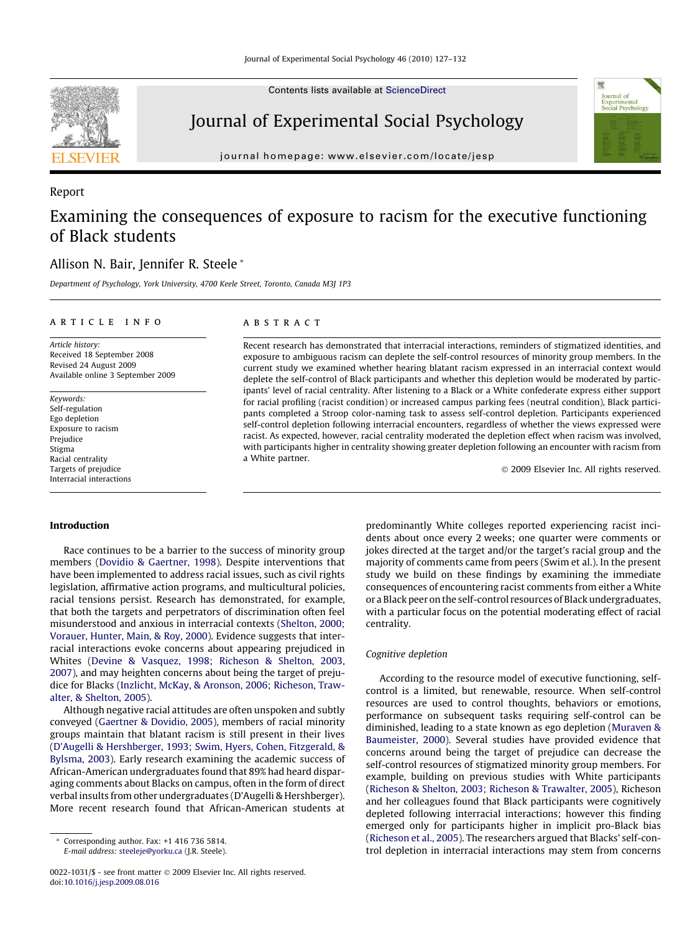Contents lists available at [ScienceDirect](http://www.sciencedirect.com/science/journal/00221031)



# Journal of Experimental Social Psychology

journal homepage: [www.elsevier.com/locate/jesp](http://www.elsevier.com/locate/jesp)

# Report

# Examining the consequences of exposure to racism for the executive functioning of Black students

# Allison N. Bair, Jennifer R. Steele \*

Department of Psychology, York University, 4700 Keele Street, Toronto, Canada M3J 1P3

# article info

Article history: Received 18 September 2008 Revised 24 August 2009 Available online 3 September 2009

Keywords: Self-regulation Ego depletion Exposure to racism Prejudice Stigma Racial centrality Targets of prejudice Interracial interactions

## Introduction

Race continues to be a barrier to the success of minority group members [\(Dovidio & Gaertner, 1998](#page-5-0)). Despite interventions that have been implemented to address racial issues, such as civil rights legislation, affirmative action programs, and multicultural policies, racial tensions persist. Research has demonstrated, for example, that both the targets and perpetrators of discrimination often feel misunderstood and anxious in interracial contexts ([Shelton, 2000;](#page-5-0) [Vorauer, Hunter, Main, & Roy, 2000\)](#page-5-0). Evidence suggests that interracial interactions evoke concerns about appearing prejudiced in Whites ([Devine & Vasquez, 1998; Richeson & Shelton, 2003,](#page-5-0) [2007](#page-5-0)), and may heighten concerns about being the target of prejudice for Blacks ([Inzlicht, McKay, & Aronson, 2006; Richeson, Traw](#page-5-0)[alter, & Shelton, 2005\)](#page-5-0).

Although negative racial attitudes are often unspoken and subtly conveyed [\(Gaertner & Dovidio, 2005](#page-5-0)), members of racial minority groups maintain that blatant racism is still present in their lives ([D'Augelli & Hershberger, 1993; Swim, Hyers, Cohen, Fitzgerald, &](#page-5-0) [Bylsma, 2003\)](#page-5-0). Early research examining the academic success of African-American undergraduates found that 89% had heard disparaging comments about Blacks on campus, often in the form of direct verbal insults from other undergraduates (D'Augelli & Hershberger). More recent research found that African-American students at

# ABSTRACT

Recent research has demonstrated that interracial interactions, reminders of stigmatized identities, and exposure to ambiguous racism can deplete the self-control resources of minority group members. In the current study we examined whether hearing blatant racism expressed in an interracial context would deplete the self-control of Black participants and whether this depletion would be moderated by participants' level of racial centrality. After listening to a Black or a White confederate express either support for racial profiling (racist condition) or increased campus parking fees (neutral condition), Black participants completed a Stroop color-naming task to assess self-control depletion. Participants experienced self-control depletion following interracial encounters, regardless of whether the views expressed were racist. As expected, however, racial centrality moderated the depletion effect when racism was involved, with participants higher in centrality showing greater depletion following an encounter with racism from a White partner.

- 2009 Elsevier Inc. All rights reserved.

搜 Journal of Experimental<br>Social Psychology

predominantly White colleges reported experiencing racist incidents about once every 2 weeks; one quarter were comments or jokes directed at the target and/or the target's racial group and the majority of comments came from peers (Swim et al.). In the present study we build on these findings by examining the immediate consequences of encountering racist comments from either a White or a Black peer on the self-control resources of Black undergraduates, with a particular focus on the potential moderating effect of racial centrality.

# Cognitive depletion

According to the resource model of executive functioning, selfcontrol is a limited, but renewable, resource. When self-control resources are used to control thoughts, behaviors or emotions, performance on subsequent tasks requiring self-control can be diminished, leading to a state known as ego depletion ([Muraven &](#page-5-0) [Baumeister, 2000\)](#page-5-0). Several studies have provided evidence that concerns around being the target of prejudice can decrease the self-control resources of stigmatized minority group members. For example, building on previous studies with White participants ([Richeson & Shelton, 2003; Richeson & Trawalter, 2005](#page-5-0)), Richeson and her colleagues found that Black participants were cognitively depleted following interracial interactions; however this finding emerged only for participants higher in implicit pro-Black bias ([Richeson et al., 2005](#page-5-0)). The researchers argued that Blacks' self-control depletion in interracial interactions may stem from concerns

<sup>\*</sup> Corresponding author. Fax: +1 416 736 5814.

E-mail address: [steeleje@yorku.ca](mailto:steeleje@yorku.ca) (J.R. Steele).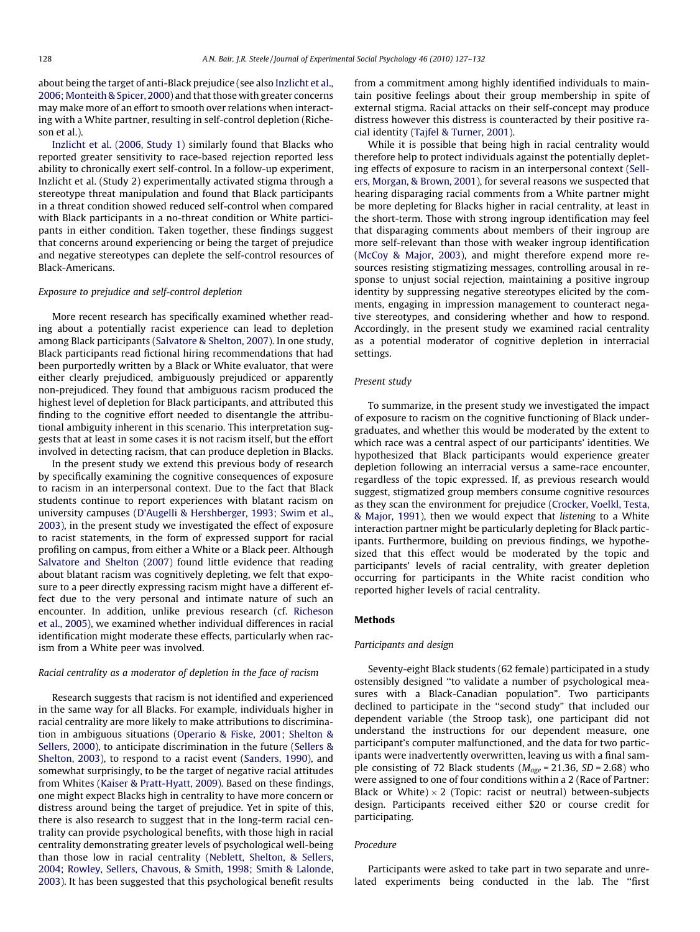about being the target of anti-Black prejudice (see also [Inzlicht et al.,](#page-5-0) [2006; Monteith & Spicer, 2000\)](#page-5-0) and that those with greater concerns may make more of an effort to smooth over relations when interacting with a White partner, resulting in self-control depletion (Richeson et al.).

[Inzlicht et al. \(2006, Study 1\)](#page-5-0) similarly found that Blacks who reported greater sensitivity to race-based rejection reported less ability to chronically exert self-control. In a follow-up experiment, Inzlicht et al. (Study 2) experimentally activated stigma through a stereotype threat manipulation and found that Black participants in a threat condition showed reduced self-control when compared with Black participants in a no-threat condition or White participants in either condition. Taken together, these findings suggest that concerns around experiencing or being the target of prejudice and negative stereotypes can deplete the self-control resources of Black-Americans.

#### Exposure to prejudice and self-control depletion

More recent research has specifically examined whether reading about a potentially racist experience can lead to depletion among Black participants ([Salvatore & Shelton, 2007\)](#page-5-0). In one study, Black participants read fictional hiring recommendations that had been purportedly written by a Black or White evaluator, that were either clearly prejudiced, ambiguously prejudiced or apparently non-prejudiced. They found that ambiguous racism produced the highest level of depletion for Black participants, and attributed this finding to the cognitive effort needed to disentangle the attributional ambiguity inherent in this scenario. This interpretation suggests that at least in some cases it is not racism itself, but the effort involved in detecting racism, that can produce depletion in Blacks.

In the present study we extend this previous body of research by specifically examining the cognitive consequences of exposure to racism in an interpersonal context. Due to the fact that Black students continue to report experiences with blatant racism on university campuses ([D'Augelli & Hershberger, 1993; Swim et al.,](#page-5-0) [2003\)](#page-5-0), in the present study we investigated the effect of exposure to racist statements, in the form of expressed support for racial profiling on campus, from either a White or a Black peer. Although [Salvatore and Shelton \(2007\)](#page-5-0) found little evidence that reading about blatant racism was cognitively depleting, we felt that exposure to a peer directly expressing racism might have a different effect due to the very personal and intimate nature of such an encounter. In addition, unlike previous research (cf. [Richeson](#page-5-0) [et al., 2005](#page-5-0)), we examined whether individual differences in racial identification might moderate these effects, particularly when racism from a White peer was involved.

#### Racial centrality as a moderator of depletion in the face of racism

Research suggests that racism is not identified and experienced in the same way for all Blacks. For example, individuals higher in racial centrality are more likely to make attributions to discrimination in ambiguous situations ([Operario & Fiske, 2001; Shelton &](#page-5-0) [Sellers, 2000\)](#page-5-0), to anticipate discrimination in the future ([Sellers &](#page-5-0) [Shelton, 2003](#page-5-0)), to respond to a racist event ([Sanders, 1990\)](#page-5-0), and somewhat surprisingly, to be the target of negative racial attitudes from Whites ([Kaiser & Pratt-Hyatt, 2009](#page-5-0)). Based on these findings, one might expect Blacks high in centrality to have more concern or distress around being the target of prejudice. Yet in spite of this, there is also research to suggest that in the long-term racial centrality can provide psychological benefits, with those high in racial centrality demonstrating greater levels of psychological well-being than those low in racial centrality [\(Neblett, Shelton, & Sellers,](#page-5-0) [2004; Rowley, Sellers, Chavous, & Smith, 1998; Smith & Lalonde,](#page-5-0) [2003\)](#page-5-0). It has been suggested that this psychological benefit results from a commitment among highly identified individuals to maintain positive feelings about their group membership in spite of external stigma. Racial attacks on their self-concept may produce distress however this distress is counteracted by their positive racial identity ([Tajfel & Turner, 2001](#page-5-0)).

While it is possible that being high in racial centrality would therefore help to protect individuals against the potentially depleting effects of exposure to racism in an interpersonal context ([Sell](#page-5-0)[ers, Morgan, & Brown, 2001](#page-5-0)), for several reasons we suspected that hearing disparaging racial comments from a White partner might be more depleting for Blacks higher in racial centrality, at least in the short-term. Those with strong ingroup identification may feel that disparaging comments about members of their ingroup are more self-relevant than those with weaker ingroup identification ([McCoy & Major, 2003](#page-5-0)), and might therefore expend more resources resisting stigmatizing messages, controlling arousal in response to unjust social rejection, maintaining a positive ingroup identity by suppressing negative stereotypes elicited by the comments, engaging in impression management to counteract negative stereotypes, and considering whether and how to respond. Accordingly, in the present study we examined racial centrality as a potential moderator of cognitive depletion in interracial settings.

### Present study

To summarize, in the present study we investigated the impact of exposure to racism on the cognitive functioning of Black undergraduates, and whether this would be moderated by the extent to which race was a central aspect of our participants' identities. We hypothesized that Black participants would experience greater depletion following an interracial versus a same-race encounter, regardless of the topic expressed. If, as previous research would suggest, stigmatized group members consume cognitive resources as they scan the environment for prejudice ([Crocker, Voelkl, Testa,](#page-5-0) [& Major, 1991\)](#page-5-0), then we would expect that listening to a White interaction partner might be particularly depleting for Black participants. Furthermore, building on previous findings, we hypothesized that this effect would be moderated by the topic and participants' levels of racial centrality, with greater depletion occurring for participants in the White racist condition who reported higher levels of racial centrality.

#### Methods

#### Participants and design

Seventy-eight Black students (62 female) participated in a study ostensibly designed ''to validate a number of psychological measures with a Black-Canadian population". Two participants declined to participate in the ''second study" that included our dependent variable (the Stroop task), one participant did not understand the instructions for our dependent measure, one participant's computer malfunctioned, and the data for two participants were inadvertently overwritten, leaving us with a final sample consisting of 72 Black students ( $M_{age}$  = 21.36, SD = 2.68) who were assigned to one of four conditions within a 2 (Race of Partner: Black or White)  $\times$  2 (Topic: racist or neutral) between-subjects design. Participants received either \$20 or course credit for participating.

#### Procedure

Participants were asked to take part in two separate and unrelated experiments being conducted in the lab. The "first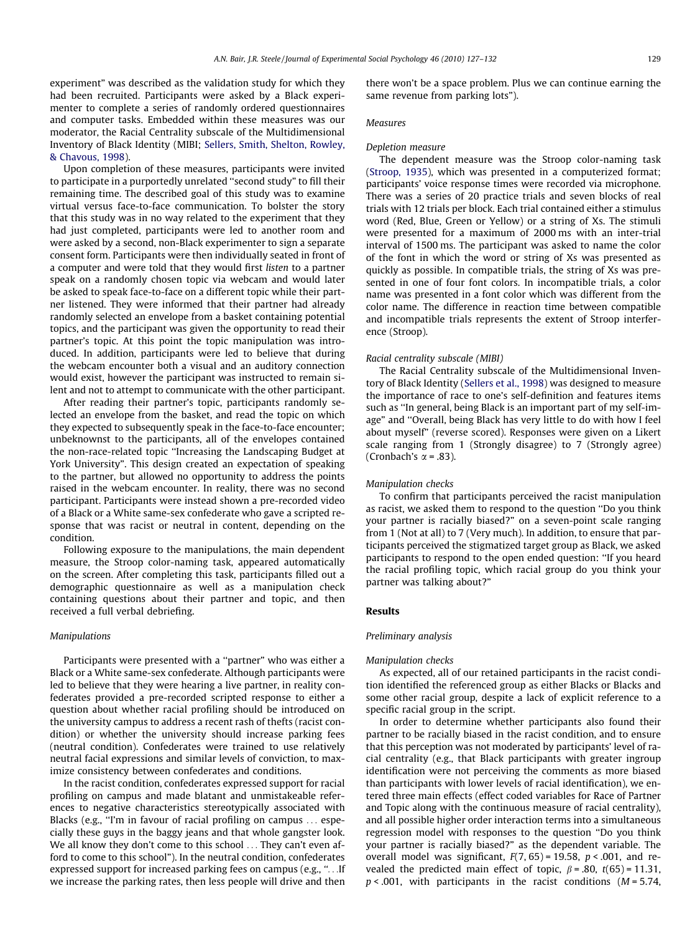experiment" was described as the validation study for which they had been recruited. Participants were asked by a Black experimenter to complete a series of randomly ordered questionnaires and computer tasks. Embedded within these measures was our moderator, the Racial Centrality subscale of the Multidimensional Inventory of Black Identity (MIBI; [Sellers, Smith, Shelton, Rowley,](#page-5-0) [& Chavous, 1998](#page-5-0)).

Upon completion of these measures, participants were invited to participate in a purportedly unrelated ''second study" to fill their remaining time. The described goal of this study was to examine virtual versus face-to-face communication. To bolster the story that this study was in no way related to the experiment that they had just completed, participants were led to another room and were asked by a second, non-Black experimenter to sign a separate consent form. Participants were then individually seated in front of a computer and were told that they would first listen to a partner speak on a randomly chosen topic via webcam and would later be asked to speak face-to-face on a different topic while their partner listened. They were informed that their partner had already randomly selected an envelope from a basket containing potential topics, and the participant was given the opportunity to read their partner's topic. At this point the topic manipulation was introduced. In addition, participants were led to believe that during the webcam encounter both a visual and an auditory connection would exist, however the participant was instructed to remain silent and not to attempt to communicate with the other participant.

After reading their partner's topic, participants randomly selected an envelope from the basket, and read the topic on which they expected to subsequently speak in the face-to-face encounter; unbeknownst to the participants, all of the envelopes contained the non-race-related topic ''Increasing the Landscaping Budget at York University". This design created an expectation of speaking to the partner, but allowed no opportunity to address the points raised in the webcam encounter. In reality, there was no second participant. Participants were instead shown a pre-recorded video of a Black or a White same-sex confederate who gave a scripted response that was racist or neutral in content, depending on the condition.

Following exposure to the manipulations, the main dependent measure, the Stroop color-naming task, appeared automatically on the screen. After completing this task, participants filled out a demographic questionnaire as well as a manipulation check containing questions about their partner and topic, and then received a full verbal debriefing.

#### Manipulations

Participants were presented with a ''partner" who was either a Black or a White same-sex confederate. Although participants were led to believe that they were hearing a live partner, in reality confederates provided a pre-recorded scripted response to either a question about whether racial profiling should be introduced on the university campus to address a recent rash of thefts (racist condition) or whether the university should increase parking fees (neutral condition). Confederates were trained to use relatively neutral facial expressions and similar levels of conviction, to maximize consistency between confederates and conditions.

In the racist condition, confederates expressed support for racial profiling on campus and made blatant and unmistakeable references to negative characteristics stereotypically associated with Blacks (e.g., "I'm in favour of racial profiling on campus ... especially these guys in the baggy jeans and that whole gangster look. We all know they don't come to this school ... They can't even afford to come to this school"). In the neutral condition, confederates expressed support for increased parking fees on campus (e.g., ''...If we increase the parking rates, then less people will drive and then there won't be a space problem. Plus we can continue earning the same revenue from parking lots").

#### Measures

#### Depletion measure

The dependent measure was the Stroop color-naming task ([Stroop, 1935\)](#page-5-0), which was presented in a computerized format; participants' voice response times were recorded via microphone. There was a series of 20 practice trials and seven blocks of real trials with 12 trials per block. Each trial contained either a stimulus word (Red, Blue, Green or Yellow) or a string of Xs. The stimuli were presented for a maximum of 2000 ms with an inter-trial interval of 1500 ms. The participant was asked to name the color of the font in which the word or string of Xs was presented as quickly as possible. In compatible trials, the string of Xs was presented in one of four font colors. In incompatible trials, a color name was presented in a font color which was different from the color name. The difference in reaction time between compatible and incompatible trials represents the extent of Stroop interference (Stroop).

#### Racial centrality subscale (MIBI)

The Racial Centrality subscale of the Multidimensional Inventory of Black Identity [\(Sellers et al., 1998\)](#page-5-0) was designed to measure the importance of race to one's self-definition and features items such as ''In general, being Black is an important part of my self-image" and ''Overall, being Black has very little to do with how I feel about myself" (reverse scored). Responses were given on a Likert scale ranging from 1 (Strongly disagree) to 7 (Strongly agree) (Cronbach's  $\alpha$  = .83).

#### Manipulation checks

To confirm that participants perceived the racist manipulation as racist, we asked them to respond to the question ''Do you think your partner is racially biased?" on a seven-point scale ranging from 1 (Not at all) to 7 (Very much). In addition, to ensure that participants perceived the stigmatized target group as Black, we asked participants to respond to the open ended question: ''If you heard the racial profiling topic, which racial group do you think your partner was talking about?"

### Results

#### Preliminary analysis

#### Manipulation checks

As expected, all of our retained participants in the racist condition identified the referenced group as either Blacks or Blacks and some other racial group, despite a lack of explicit reference to a specific racial group in the script.

In order to determine whether participants also found their partner to be racially biased in the racist condition, and to ensure that this perception was not moderated by participants' level of racial centrality (e.g., that Black participants with greater ingroup identification were not perceiving the comments as more biased than participants with lower levels of racial identification), we entered three main effects (effect coded variables for Race of Partner and Topic along with the continuous measure of racial centrality), and all possible higher order interaction terms into a simultaneous regression model with responses to the question ''Do you think your partner is racially biased?" as the dependent variable. The overall model was significant,  $F(7, 65) = 19.58$ ,  $p < .001$ , and revealed the predicted main effect of topic,  $\beta$  = .80, t(65) = 11.31,  $p < .001$ , with participants in the racist conditions ( $M = 5.74$ ,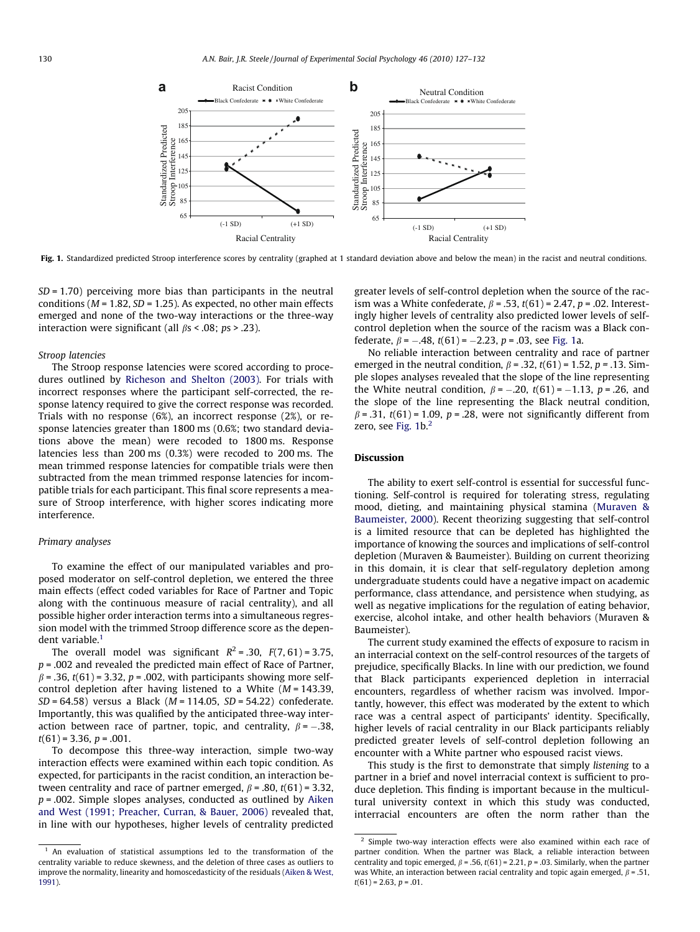

Fig. 1. Standardized predicted Stroop interference scores by centrality (graphed at 1 standard deviation above and below the mean) in the racist and neutral conditions.

 $SD = 1.70$ ) perceiving more bias than participants in the neutral conditions ( $M = 1.82$ ,  $SD = 1.25$ ). As expected, no other main effects emerged and none of the two-way interactions or the three-way interaction were significant (all  $\beta$ s < .08; ps > .23).

#### Stroop latencies

The Stroop response latencies were scored according to procedures outlined by [Richeson and Shelton \(2003\).](#page-5-0) For trials with incorrect responses where the participant self-corrected, the response latency required to give the correct response was recorded. Trials with no response (6%), an incorrect response (2%), or response latencies greater than 1800 ms (0.6%; two standard deviations above the mean) were recoded to 1800 ms. Response latencies less than 200 ms (0.3%) were recoded to 200 ms. The mean trimmed response latencies for compatible trials were then subtracted from the mean trimmed response latencies for incompatible trials for each participant. This final score represents a measure of Stroop interference, with higher scores indicating more interference.

# Primary analyses

To examine the effect of our manipulated variables and proposed moderator on self-control depletion, we entered the three main effects (effect coded variables for Race of Partner and Topic along with the continuous measure of racial centrality), and all possible higher order interaction terms into a simultaneous regression model with the trimmed Stroop difference score as the dependent variable. $<sup>1</sup>$ </sup>

The overall model was significant  $R^2 = .30$ ,  $F(7, 61) = 3.75$ ,  $p = 0.002$  and revealed the predicted main effect of Race of Partner,  $\beta$  = .36, t(61) = 3.32, p = .002, with participants showing more selfcontrol depletion after having listened to a White  $(M = 143.39,$  $SD = 64.58$ ) versus a Black ( $M = 114.05$ ,  $SD = 54.22$ ) confederate. Importantly, this was qualified by the anticipated three-way interaction between race of partner, topic, and centrality,  $\beta = -.38$ ,  $t(61) = 3.36, p = .001.$ 

To decompose this three-way interaction, simple two-way interaction effects were examined within each topic condition. As expected, for participants in the racist condition, an interaction between centrality and race of partner emerged,  $\beta$  = .80, t(61) = 3.32,  $p = 0.002$ . Simple slopes analyses, conducted as outlined by [Aiken](#page-4-0) [and West \(1991; Preacher, Curran, & Bauer, 2006\)](#page-4-0) revealed that, in line with our hypotheses, higher levels of centrality predicted greater levels of self-control depletion when the source of the racism was a White confederate,  $\beta$  = .53,  $t(61)$  = 2.47,  $p$  = .02. Interestingly higher levels of centrality also predicted lower levels of selfcontrol depletion when the source of the racism was a Black confederate,  $\beta$  = -.48,  $t(61)$  = -2.23, p = .03, see Fig. 1a.

No reliable interaction between centrality and race of partner emerged in the neutral condition,  $\beta$  = .32,  $t(61)$  = 1.52,  $p$  = .13. Simple slopes analyses revealed that the slope of the line representing the White neutral condition,  $\beta = -.20$ ,  $t(61) = -1.13$ ,  $p = .26$ , and the slope of the line representing the Black neutral condition,  $\beta$  = .31, t(61) = 1.09, p = .28, were not significantly different from zero, see Fig. 1b.<sup>2</sup>

# Discussion

The ability to exert self-control is essential for successful functioning. Self-control is required for tolerating stress, regulating mood, dieting, and maintaining physical stamina [\(Muraven &](#page-5-0) [Baumeister, 2000](#page-5-0)). Recent theorizing suggesting that self-control is a limited resource that can be depleted has highlighted the importance of knowing the sources and implications of self-control depletion (Muraven & Baumeister). Building on current theorizing in this domain, it is clear that self-regulatory depletion among undergraduate students could have a negative impact on academic performance, class attendance, and persistence when studying, as well as negative implications for the regulation of eating behavior, exercise, alcohol intake, and other health behaviors (Muraven & Baumeister).

The current study examined the effects of exposure to racism in an interracial context on the self-control resources of the targets of prejudice, specifically Blacks. In line with our prediction, we found that Black participants experienced depletion in interracial encounters, regardless of whether racism was involved. Importantly, however, this effect was moderated by the extent to which race was a central aspect of participants' identity. Specifically, higher levels of racial centrality in our Black participants reliably predicted greater levels of self-control depletion following an encounter with a White partner who espoused racist views.

This study is the first to demonstrate that simply listening to a partner in a brief and novel interracial context is sufficient to produce depletion. This finding is important because in the multicultural university context in which this study was conducted, interracial encounters are often the norm rather than the

 $1$  An evaluation of statistical assumptions led to the transformation of the centrality variable to reduce skewness, and the deletion of three cases as outliers to improve the normality, linearity and homoscedasticity of the residuals ([Aiken & West,](#page-4-0) [1991\)](#page-4-0).

<sup>&</sup>lt;sup>2</sup> Simple two-way interaction effects were also examined within each race of partner condition. When the partner was Black, a reliable interaction between centrality and topic emerged,  $\beta$  = .56,  $t(61)$  = 2.21,  $p$  = .03. Similarly, when the partner was White, an interaction between racial centrality and topic again emerged,  $\beta$  = .51,  $t(61) = 2.63, p = .01.$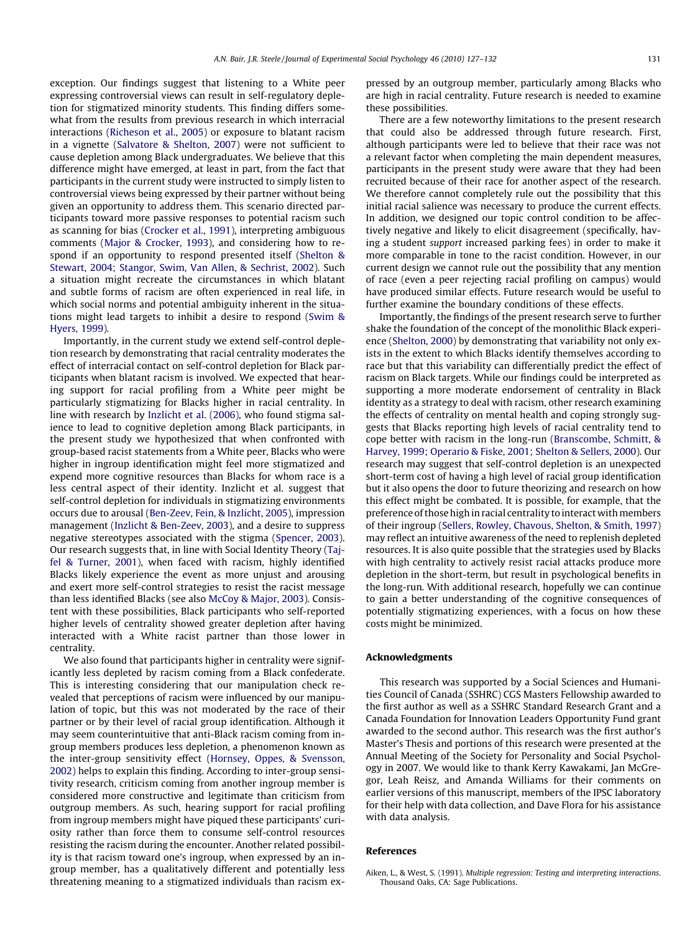<span id="page-4-0"></span>exception. Our findings suggest that listening to a White peer expressing controversial views can result in self-regulatory depletion for stigmatized minority students. This finding differs somewhat from the results from previous research in which interracial interactions ([Richeson et al., 2005](#page-5-0)) or exposure to blatant racism in a vignette ([Salvatore & Shelton, 2007](#page-5-0)) were not sufficient to cause depletion among Black undergraduates. We believe that this difference might have emerged, at least in part, from the fact that participants in the current study were instructed to simply listen to controversial views being expressed by their partner without being given an opportunity to address them. This scenario directed participants toward more passive responses to potential racism such as scanning for bias [\(Crocker et al., 1991\)](#page-5-0), interpreting ambiguous comments ([Major & Crocker, 1993\)](#page-5-0), and considering how to respond if an opportunity to respond presented itself [\(Shelton &](#page-5-0) [Stewart, 2004; Stangor, Swim, Van Allen, & Sechrist, 2002](#page-5-0)). Such a situation might recreate the circumstances in which blatant and subtle forms of racism are often experienced in real life, in which social norms and potential ambiguity inherent in the situations might lead targets to inhibit a desire to respond ([Swim &](#page-5-0) [Hyers, 1999\)](#page-5-0).

Importantly, in the current study we extend self-control depletion research by demonstrating that racial centrality moderates the effect of interracial contact on self-control depletion for Black participants when blatant racism is involved. We expected that hearing support for racial profiling from a White peer might be particularly stigmatizing for Blacks higher in racial centrality. In line with research by [Inzlicht et al. \(2006\)](#page-5-0), who found stigma salience to lead to cognitive depletion among Black participants, in the present study we hypothesized that when confronted with group-based racist statements from a White peer, Blacks who were higher in ingroup identification might feel more stigmatized and expend more cognitive resources than Blacks for whom race is a less central aspect of their identity. Inzlicht et al. suggest that self-control depletion for individuals in stigmatizing environments occurs due to arousal [\(Ben-Zeev, Fein, & Inzlicht, 2005\)](#page-5-0), impression management ([Inzlicht & Ben-Zeev, 2003\)](#page-5-0), and a desire to suppress negative stereotypes associated with the stigma ([Spencer, 2003\)](#page-5-0). Our research suggests that, in line with Social Identity Theory ([Taj](#page-5-0)[fel & Turner, 2001\)](#page-5-0), when faced with racism, highly identified Blacks likely experience the event as more unjust and arousing and exert more self-control strategies to resist the racist message than less identified Blacks (see also [McCoy & Major, 2003\)](#page-5-0). Consistent with these possibilities, Black participants who self-reported higher levels of centrality showed greater depletion after having interacted with a White racist partner than those lower in centrality.

We also found that participants higher in centrality were significantly less depleted by racism coming from a Black confederate. This is interesting considering that our manipulation check revealed that perceptions of racism were influenced by our manipulation of topic, but this was not moderated by the race of their partner or by their level of racial group identification. Although it may seem counterintuitive that anti-Black racism coming from ingroup members produces less depletion, a phenomenon known as the inter-group sensitivity effect [\(Hornsey, Oppes, & Svensson,](#page-5-0) [2002](#page-5-0)) helps to explain this finding. According to inter-group sensitivity research, criticism coming from another ingroup member is considered more constructive and legitimate than criticism from outgroup members. As such, hearing support for racial profiling from ingroup members might have piqued these participants' curiosity rather than force them to consume self-control resources resisting the racism during the encounter. Another related possibility is that racism toward one's ingroup, when expressed by an ingroup member, has a qualitatively different and potentially less threatening meaning to a stigmatized individuals than racism expressed by an outgroup member, particularly among Blacks who are high in racial centrality. Future research is needed to examine these possibilities.

There are a few noteworthy limitations to the present research that could also be addressed through future research. First, although participants were led to believe that their race was not a relevant factor when completing the main dependent measures, participants in the present study were aware that they had been recruited because of their race for another aspect of the research. We therefore cannot completely rule out the possibility that this initial racial salience was necessary to produce the current effects. In addition, we designed our topic control condition to be affectively negative and likely to elicit disagreement (specifically, having a student support increased parking fees) in order to make it more comparable in tone to the racist condition. However, in our current design we cannot rule out the possibility that any mention of race (even a peer rejecting racial profiling on campus) would have produced similar effects. Future research would be useful to further examine the boundary conditions of these effects.

Importantly, the findings of the present research serve to further shake the foundation of the concept of the monolithic Black experience [\(Shelton, 2000](#page-5-0)) by demonstrating that variability not only exists in the extent to which Blacks identify themselves according to race but that this variability can differentially predict the effect of racism on Black targets. While our findings could be interpreted as supporting a more moderate endorsement of centrality in Black identity as a strategy to deal with racism, other research examining the effects of centrality on mental health and coping strongly suggests that Blacks reporting high levels of racial centrality tend to cope better with racism in the long-run ([Branscombe, Schmitt, &](#page-5-0) [Harvey, 1999; Operario & Fiske, 2001; Shelton & Sellers, 2000](#page-5-0)). Our research may suggest that self-control depletion is an unexpected short-term cost of having a high level of racial group identification but it also opens the door to future theorizing and research on how this effect might be combated. It is possible, for example, that the preference of those high in racial centrality to interact with members of their ingroup [\(Sellers, Rowley, Chavous, Shelton, & Smith, 1997\)](#page-5-0) may reflect an intuitive awareness of the need to replenish depleted resources. It is also quite possible that the strategies used by Blacks with high centrality to actively resist racial attacks produce more depletion in the short-term, but result in psychological benefits in the long-run. With additional research, hopefully we can continue to gain a better understanding of the cognitive consequences of potentially stigmatizing experiences, with a focus on how these costs might be minimized.

#### Acknowledgments

This research was supported by a Social Sciences and Humanities Council of Canada (SSHRC) CGS Masters Fellowship awarded to the first author as well as a SSHRC Standard Research Grant and a Canada Foundation for Innovation Leaders Opportunity Fund grant awarded to the second author. This research was the first author's Master's Thesis and portions of this research were presented at the Annual Meeting of the Society for Personality and Social Psychology in 2007. We would like to thank Kerry Kawakami, Jan McGregor, Leah Reisz, and Amanda Williams for their comments on earlier versions of this manuscript, members of the IPSC laboratory for their help with data collection, and Dave Flora for his assistance with data analysis.

# References

Aiken, L., & West, S. (1991). Multiple regression: Testing and interpreting interactions. Thousand Oaks, CA: Sage Publications.